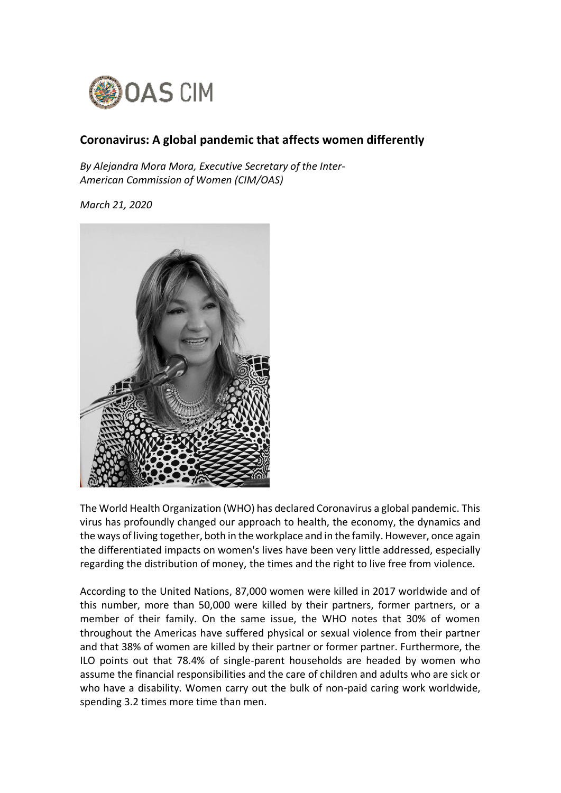

## **Coronavirus: A global pandemic that affects women differently**

*By Alejandra Mora Mora, Executive Secretary of the Inter-American Commission of Women (CIM/OAS)*

*March 21, 2020*



The World Health Organization (WHO) has declared Coronavirus a global pandemic. This virus has profoundly changed our approach to health, the economy, the dynamics and the ways of living together, both in the workplace and in the family. However, once again the differentiated impacts on women's lives have been very little addressed, especially regarding the distribution of money, the times and the right to live free from violence.

According to the United Nations, 87,000 women were killed in 2017 worldwide and of this number, more than 50,000 were killed by their partners, former partners, or a member of their family. On the same issue, the WHO notes that 30% of women throughout the Americas have suffered physical or sexual violence from their partner and that 38% of women are killed by their partner or former partner. Furthermore, the ILO points out that 78.4% of single-parent households are headed by women who assume the financial responsibilities and the care of children and adults who are sick or who have a disability. Women carry out the bulk of non-paid caring work worldwide, spending 3.2 times more time than men.